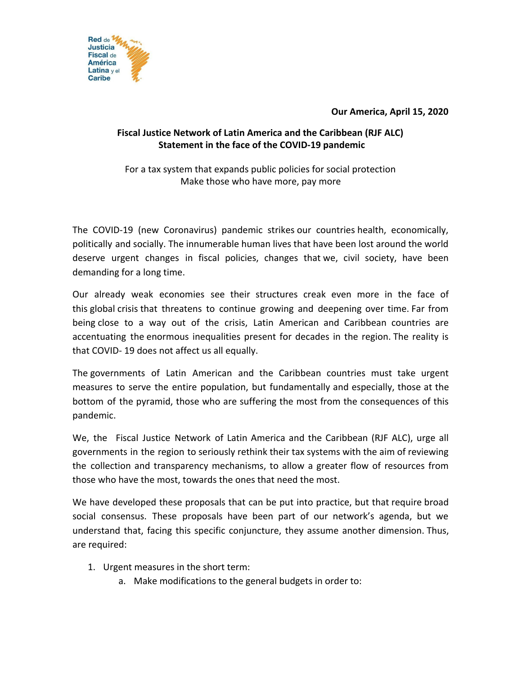

**Our America, April 15, 2020**

## **Fiscal Justice Network of Latin America and the Caribbean (RJF ALC) Statement in the face of the COVID-19 pandemic**

For a tax system that expands public policies for social protection Make those who have more, pay more

The COVID-19 (new Coronavirus) pandemic strikes our countries health, economically, politically and socially. The innumerable human lives that have been lost around the world deserve urgent changes in fiscal policies, changes that we, civil society, have been demanding for a long time.

Our already weak economies see their structures creak even more in the face of this global crisis that threatens to continue growing and deepening over time. Far from being close to a way out of the crisis, Latin American and Caribbean countries are accentuating the enormous inequalities present for decades in the region. The reality is that COVID- 19 does not affect us all equally.

The governments of Latin American and the Caribbean countries must take urgent measures to serve the entire population, but fundamentally and especially, those at the bottom of the pyramid, those who are suffering the most from the consequences of this pandemic.

We, the Fiscal Justice Network of Latin America and the Caribbean (RJF ALC), urge all governments in the region to seriously rethink their tax systems with the aim of reviewing the collection and transparency mechanisms, to allow a greater flow of resources from those who have the most, towards the ones that need the most.

We have developed these proposals that can be put into practice, but that require broad social consensus. These proposals have been part of our network's agenda, but we understand that, facing this specific conjuncture, they assume another dimension. Thus, are required:

- 1. Urgent measures in the short term:
	- a. Make modifications to the general budgets in order to: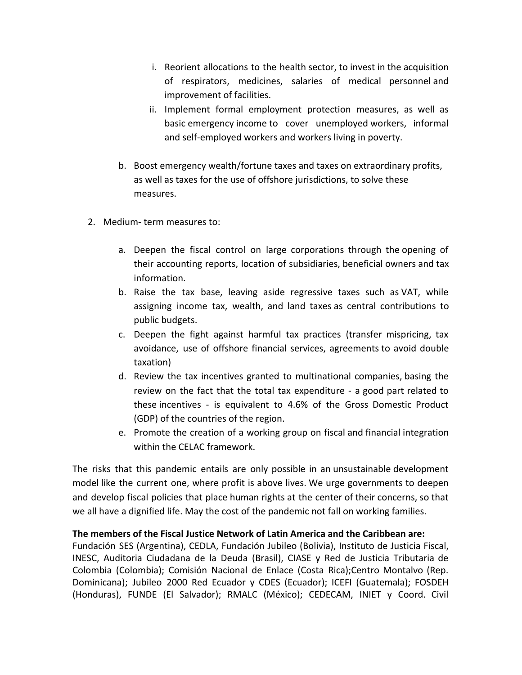- i. Reorient allocations to the health sector, to invest in the acquisition of respirators, medicines, salaries of medical personnel and improvement of facilities.
- ii. Implement formal employment protection measures, as well as basic emergency income to cover unemployed workers, informal and self-employed workers and workers living in poverty.
- b. Boost emergency wealth/fortune taxes and taxes on extraordinary profits, as well as taxes for the use of offshore jurisdictions, to solve these measures.
- 2. Medium- term measures to:
	- a. Deepen the fiscal control on large corporations through the opening of their accounting reports, location of subsidiaries, beneficial owners and tax information.
	- b. Raise the tax base, leaving aside regressive taxes such as VAT, while assigning income tax, wealth, and land taxes as central contributions to public budgets.
	- c. Deepen the fight against harmful tax practices (transfer mispricing, tax avoidance, use of offshore financial services, agreements to avoid double taxation)
	- d. Review the tax incentives granted to multinational companies, basing the review on the fact that the total tax expenditure - a good part related to these incentives - is equivalent to 4.6% of the Gross Domestic Product (GDP) of the countries of the region.
	- e. Promote the creation of a working group on fiscal and financial integration within the CELAC framework.

The risks that this pandemic entails are only possible in an unsustainable development model like the current one, where profit is above lives. We urge governments to deepen and develop fiscal policies that place human rights at the center of their concerns, so that we all have a dignified life. May the cost of the pandemic not fall on working families.

## **The members of the Fiscal Justice Network of Latin America and the Caribbean are:**

Fundación SES (Argentina), CEDLA, Fundación Jubileo (Bolivia), Instituto de Justicia Fiscal, INESC, Auditoria Ciudadana de la Deuda (Brasil), CIASE y Red de Justicia Tributaria de Colombia (Colombia); Comisión Nacional de Enlace (Costa Rica);Centro Montalvo (Rep. Dominicana); Jubileo 2000 Red Ecuador y CDES (Ecuador); ICEFI (Guatemala); FOSDEH (Honduras), FUNDE (El Salvador); RMALC (México); CEDECAM, INIET y Coord. Civil